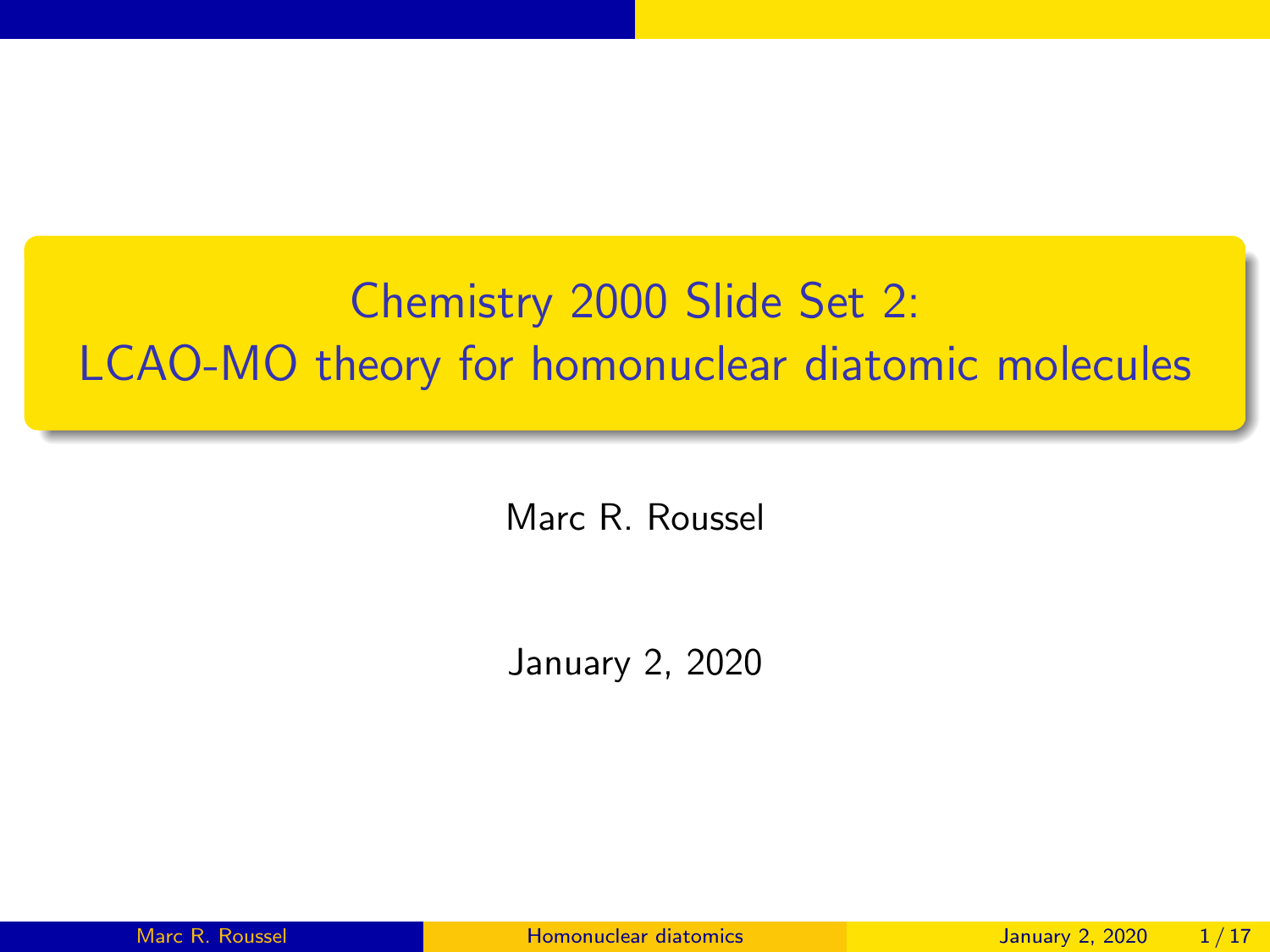# <span id="page-0-0"></span>Chemistry 2000 Slide Set 2: LCAO-MO theory for homonuclear diatomic molecules

Marc R. Roussel

January 2, 2020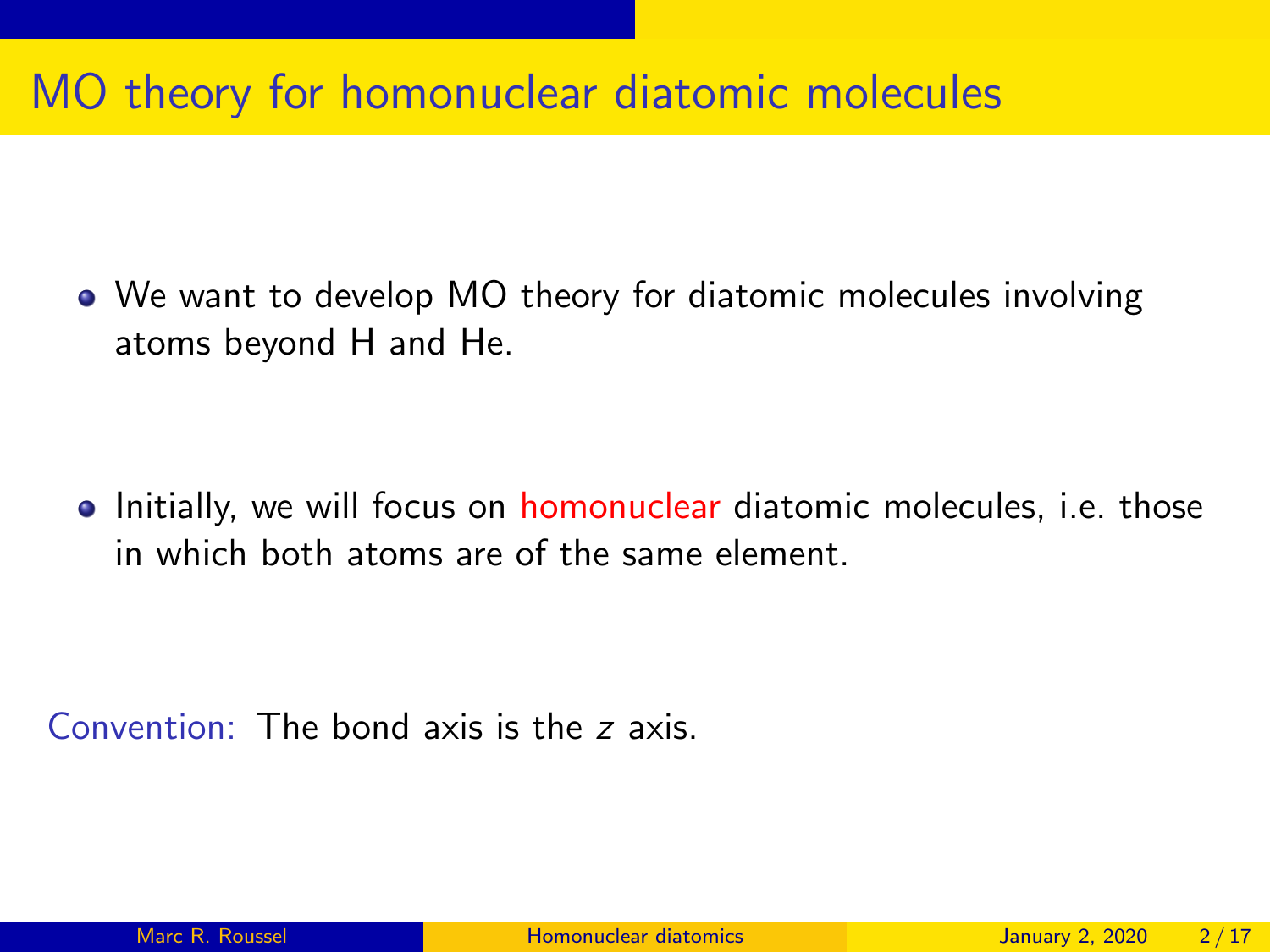#### MO theory for homonuclear diatomic molecules

We want to develop MO theory for diatomic molecules involving atoms beyond H and He.

• Initially, we will focus on homonuclear diatomic molecules, i.e. those in which both atoms are of the same element.

Convention: The bond axis is the z axis.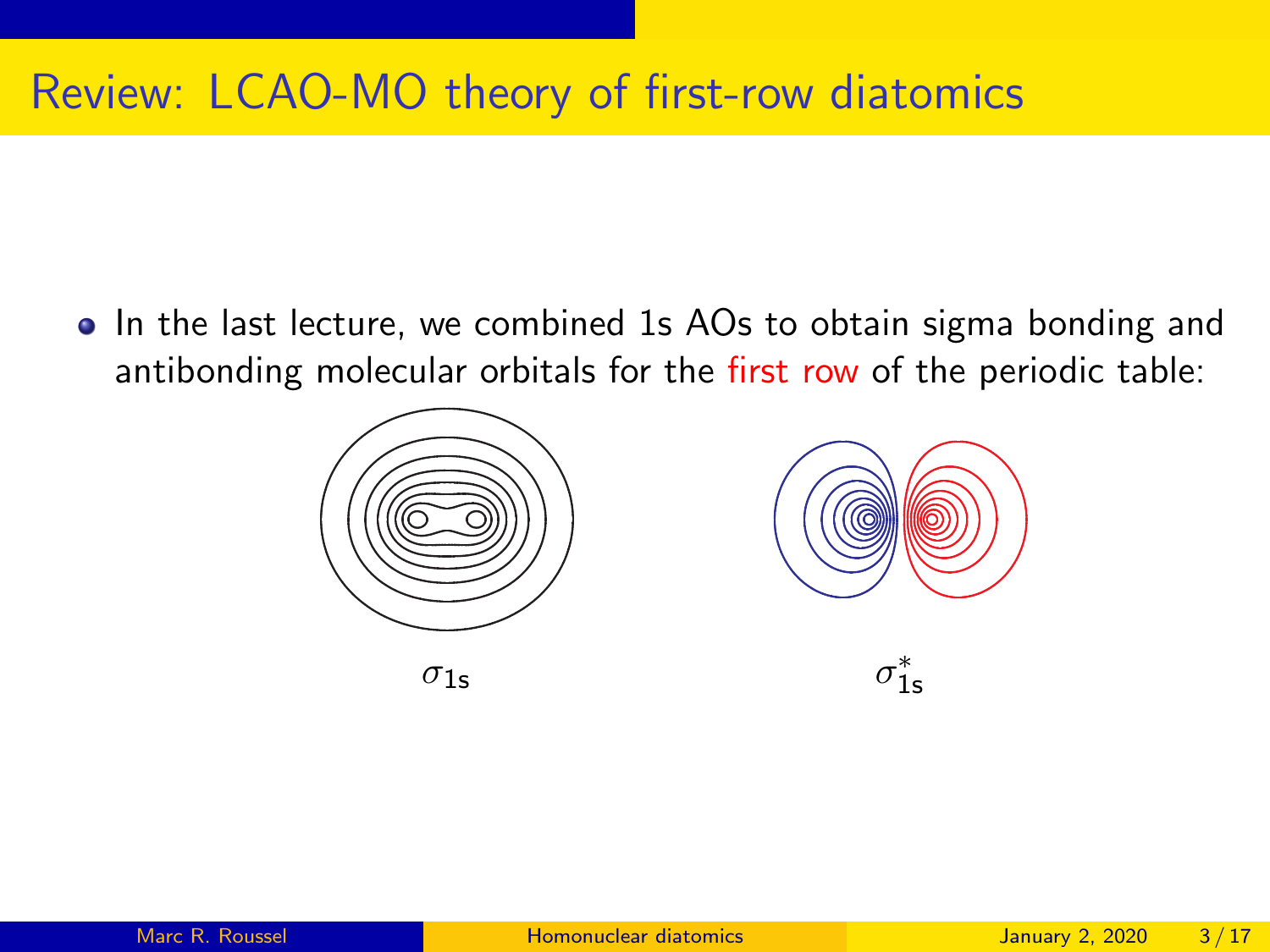### Review: LCAO-MO theory of first-row diatomics

• In the last lecture, we combined 1s AOs to obtain sigma bonding and antibonding molecular orbitals for the first row of the periodic table:





∗ 1s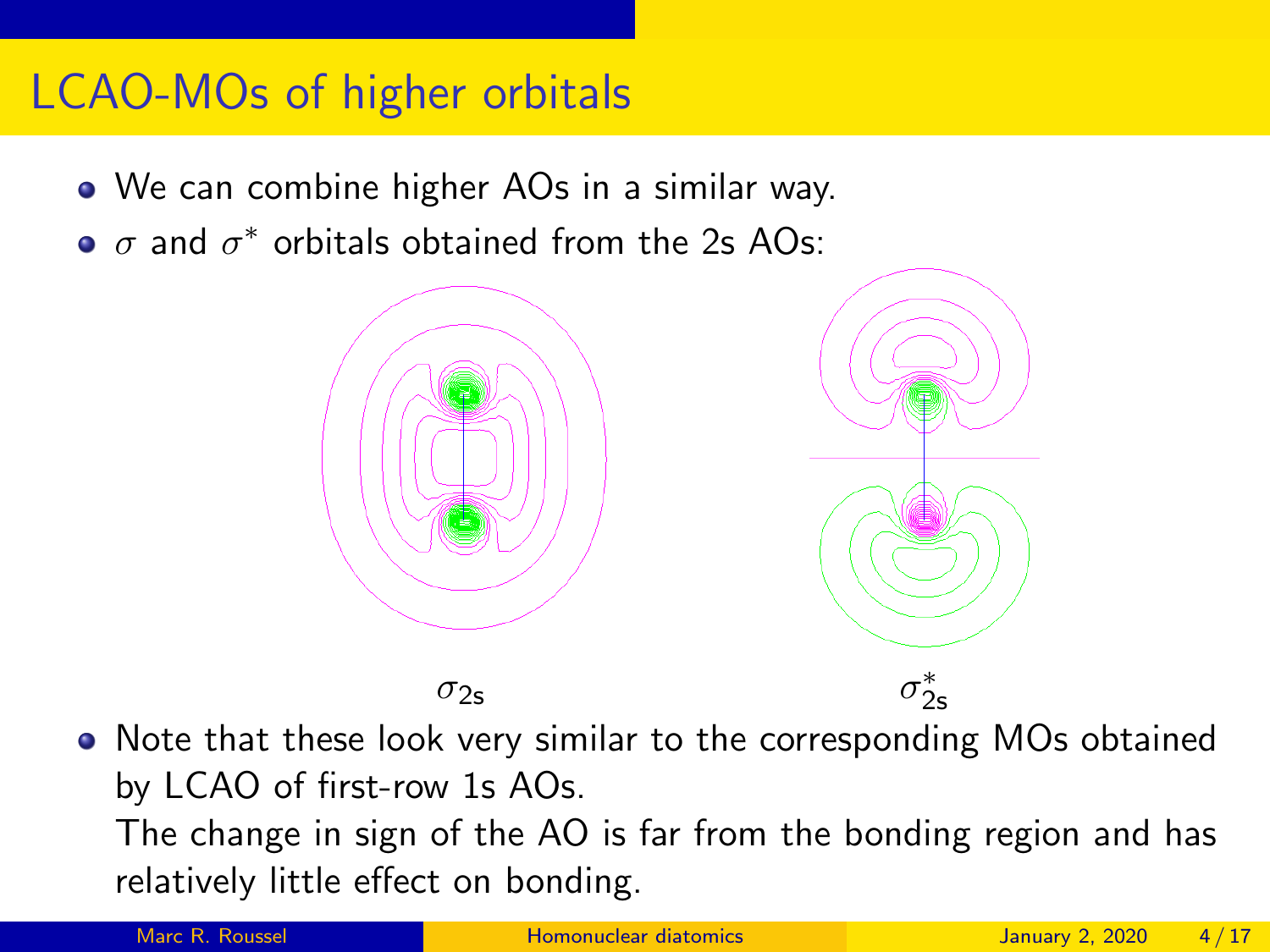#### LCAO-MOs of higher orbitals

- We can combine higher AOs in a similar way.
- $\sigma$  and  $\sigma^*$  orbitals obtained from the 2s AOs:



• Note that these look very similar to the corresponding MOs obtained by LCAO of first-row 1s AOs. The change in sign of the AO is far from the bonding region and has relatively little effect on bonding.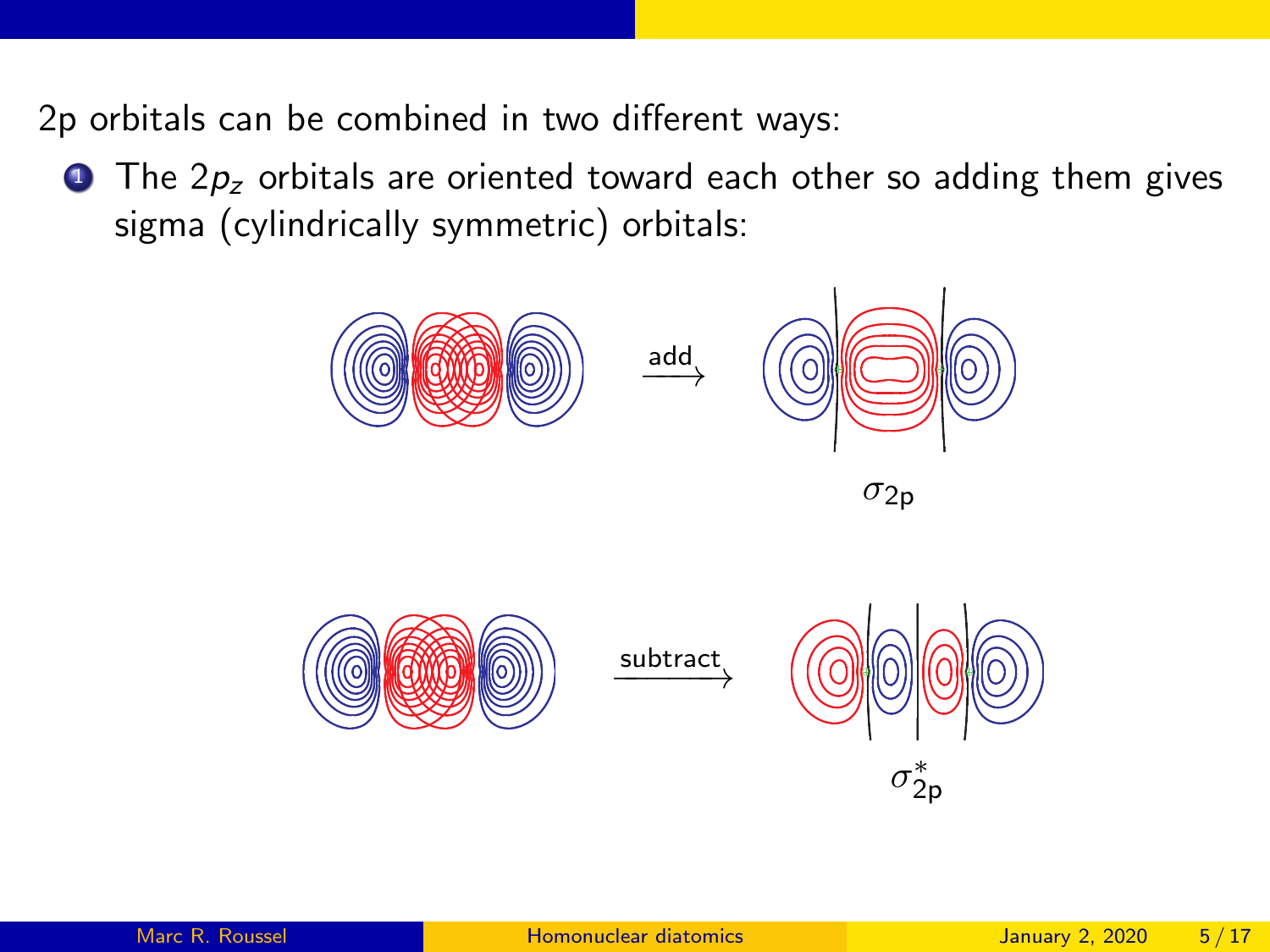2p orbitals can be combined in two different ways:

 $\bullet$  The  $2p_z$  orbitals are oriented toward each other so adding them gives sigma (cylindrically symmetric) orbitals:





 $\xrightarrow{\text{subtract}}$ 

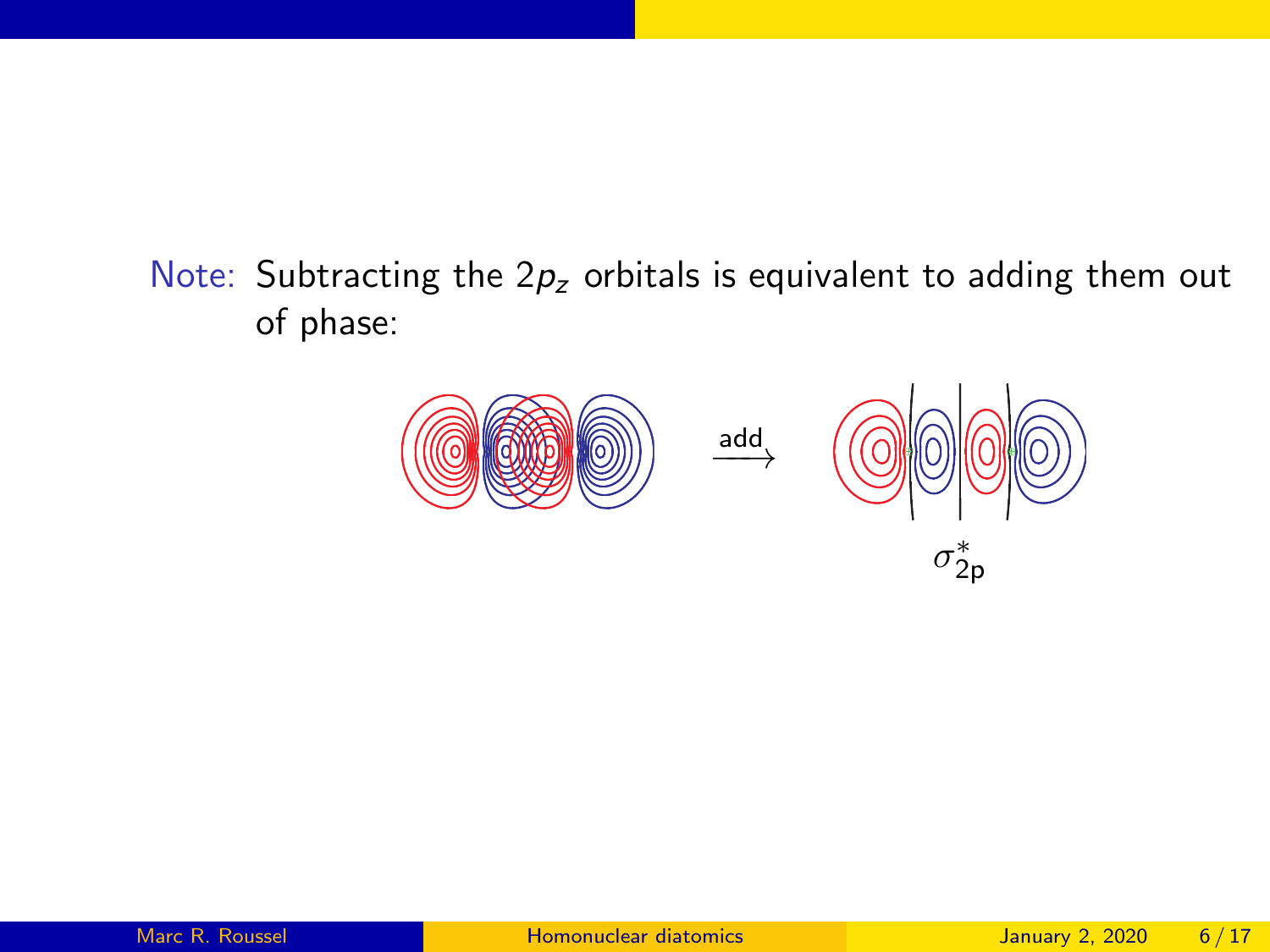Note: Subtracting the  $2p_z$  orbitals is equivalent to adding them out of phase:



2p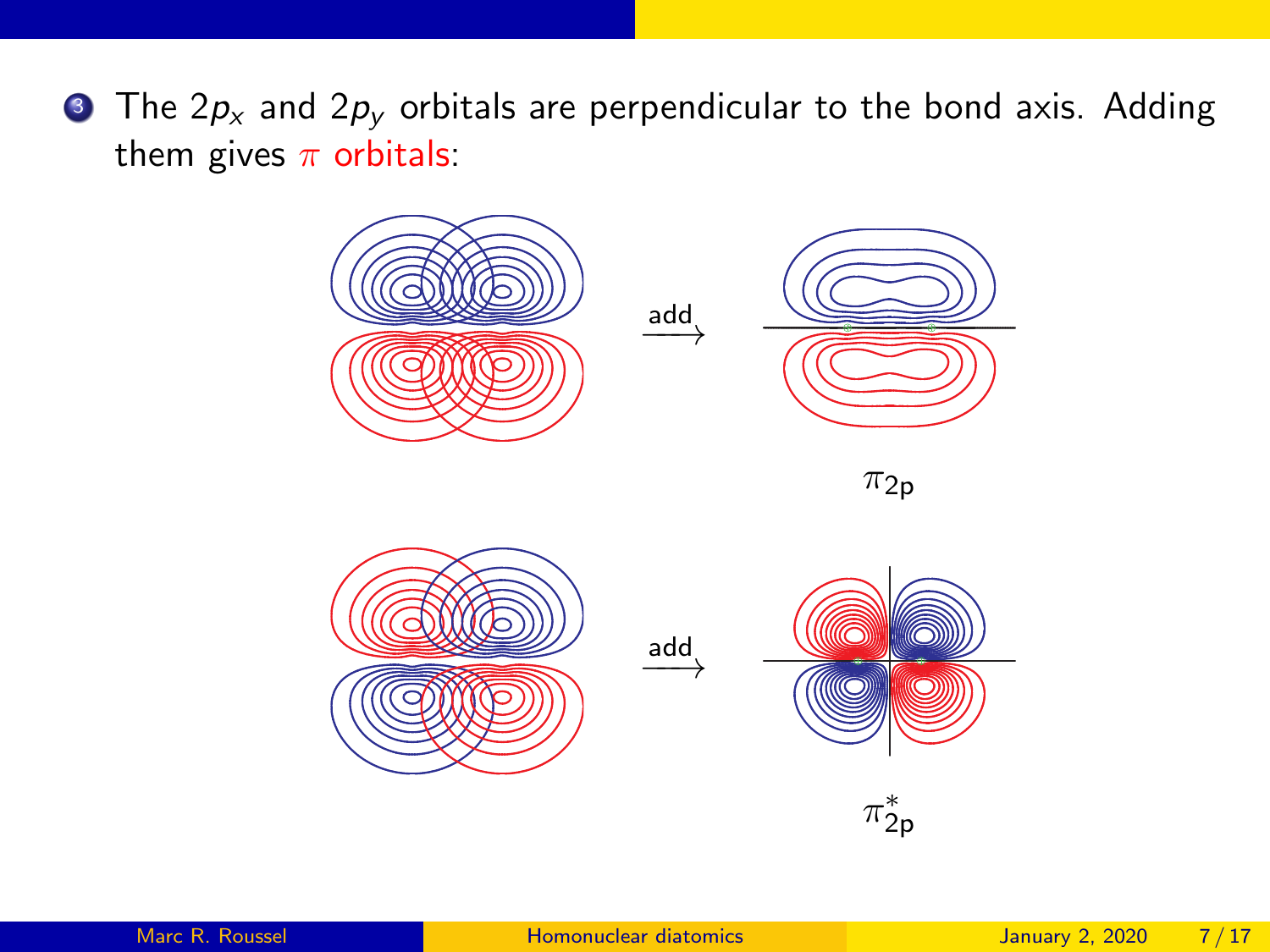$\bullet$  The 2 $p_x$  and 2 $p_y$  orbitals are perpendicular to the bond axis. Adding them gives  $\pi$  orbitals:

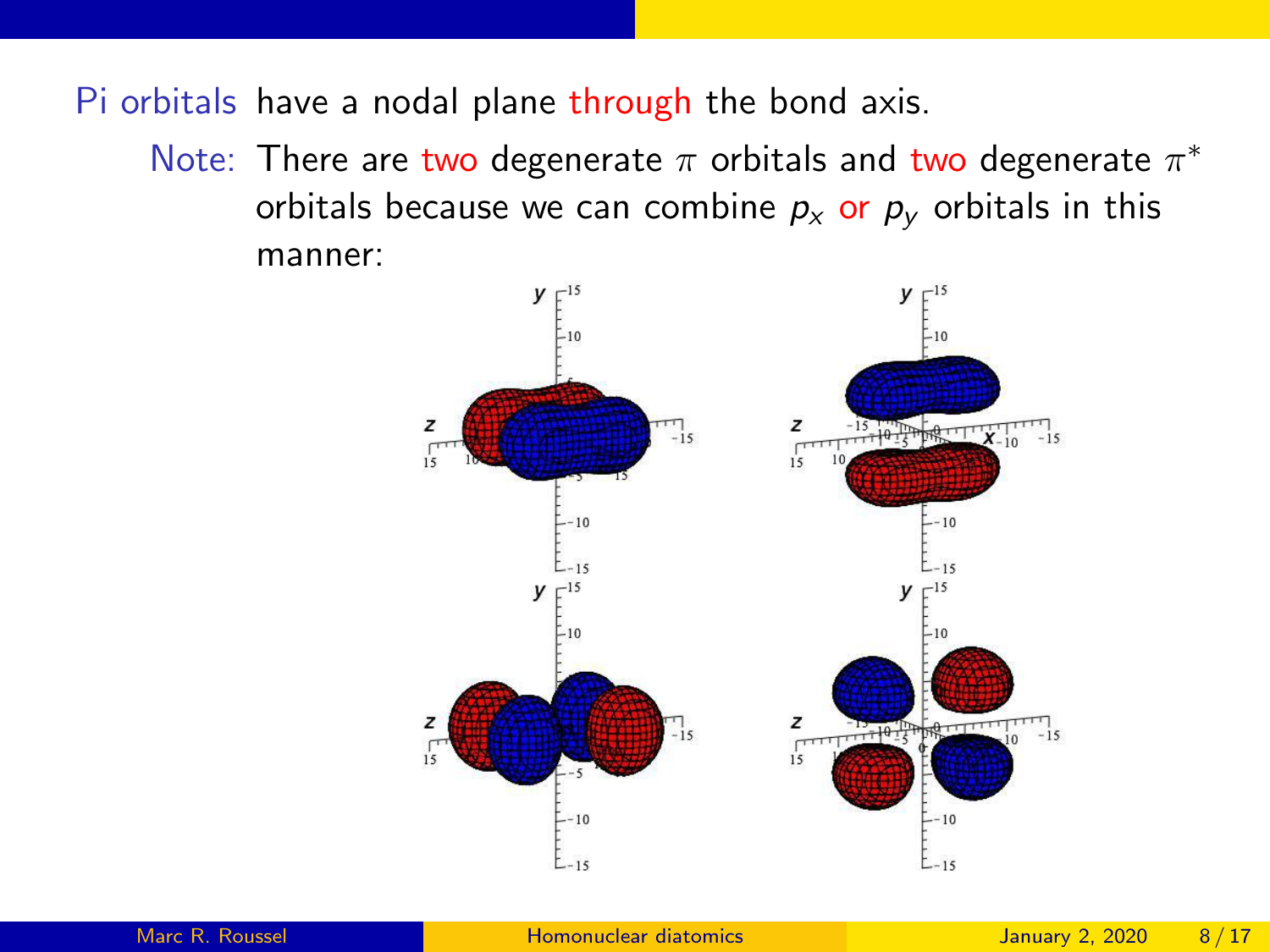Pi orbitals have a nodal plane through the bond axis.

Note: There are two degenerate  $\pi$  orbitals and two degenerate  $\pi^*$ orbitals because we can combine  $p_x$  or  $p_y$  orbitals in this manner:

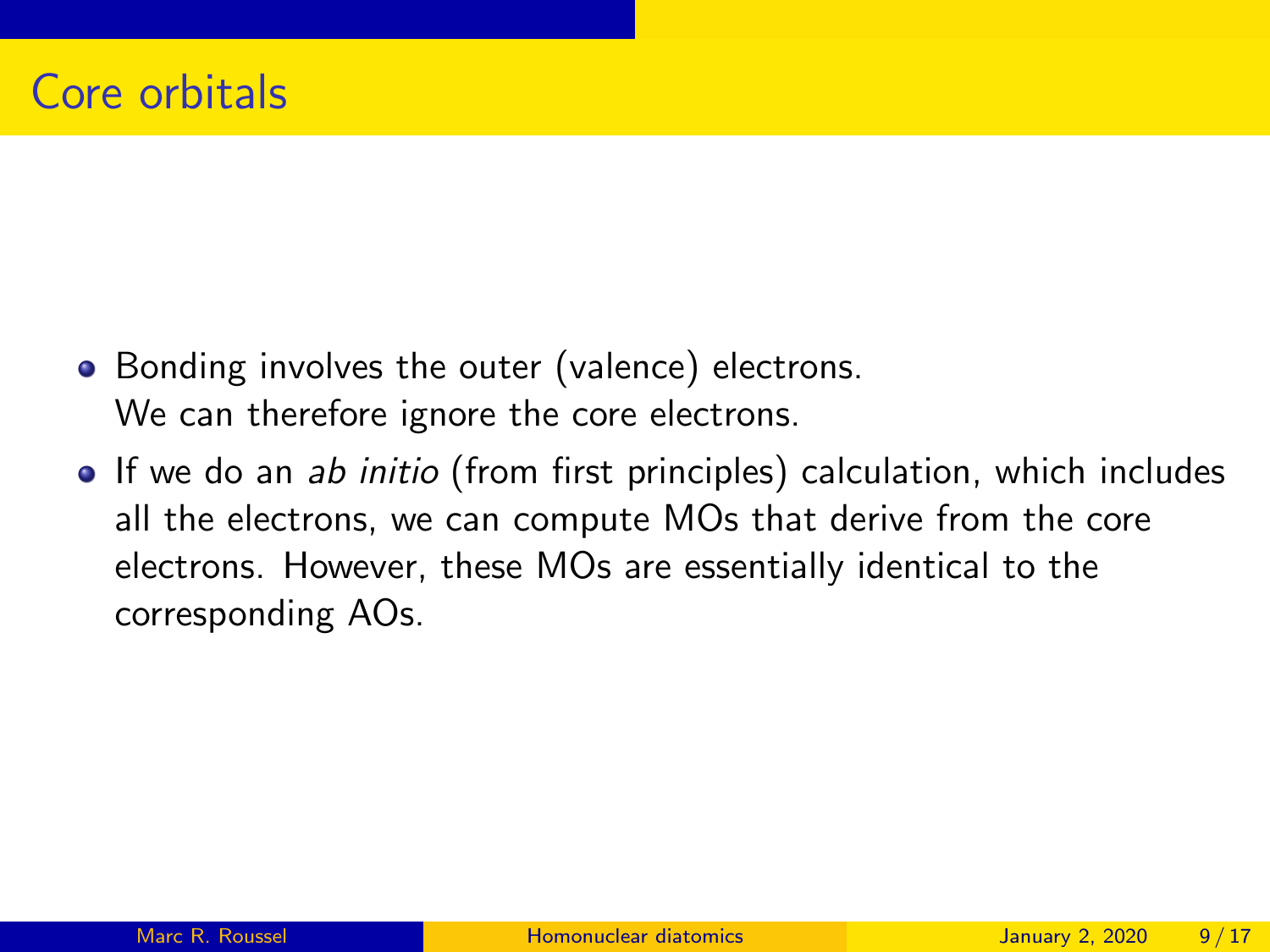- Bonding involves the outer (valence) electrons. We can therefore ignore the core electrons.
- If we do an ab initio (from first principles) calculation, which includes all the electrons, we can compute MOs that derive from the core electrons. However, these MOs are essentially identical to the corresponding AOs.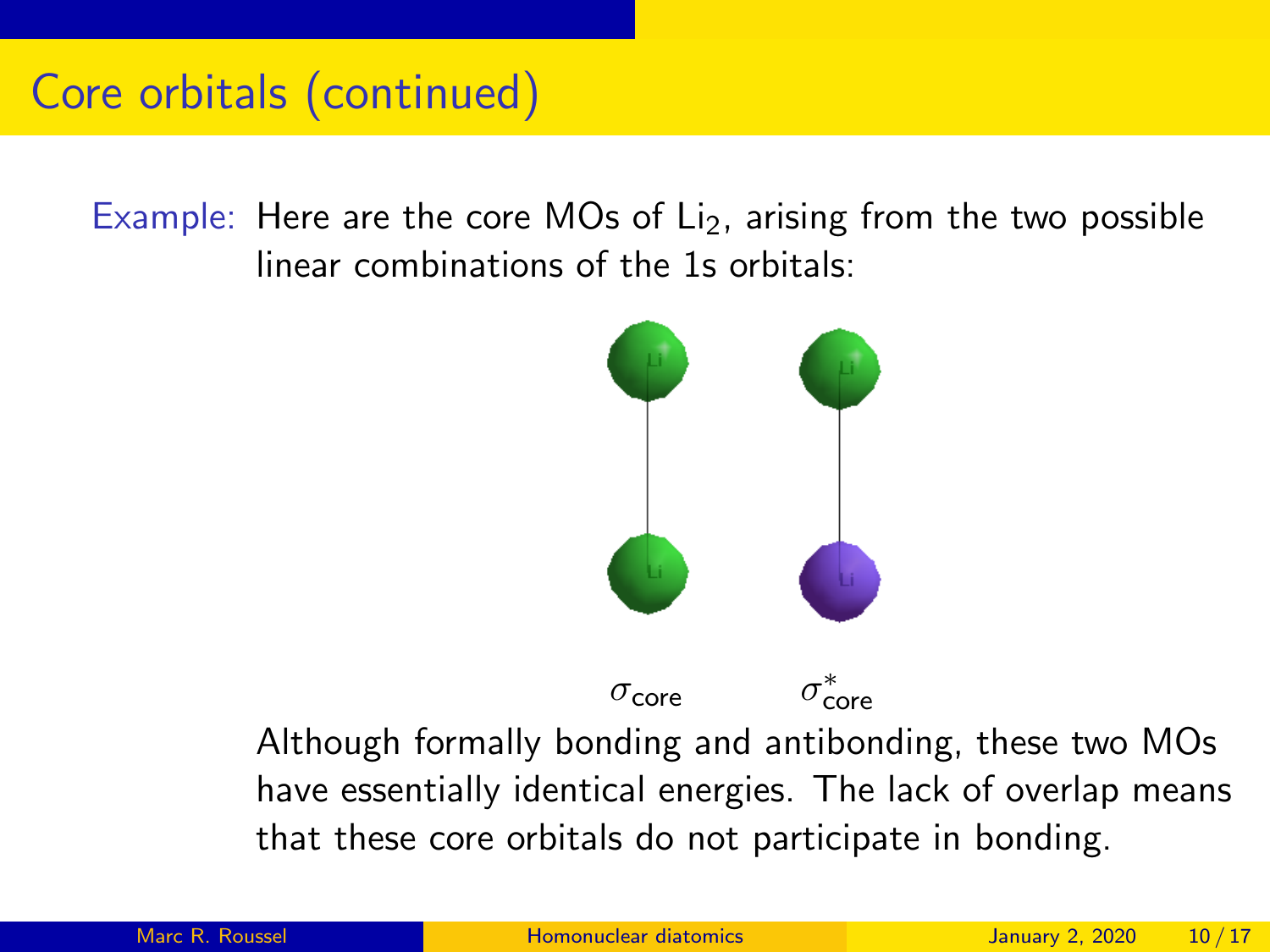#### Core orbitals (continued)

Example: Here are the core MOs of  $L_i$ , arising from the two possible linear combinations of the 1s orbitals:



 $\sigma$ <sub>core</sub>

∗ core

Although formally bonding and antibonding, these two MOs have essentially identical energies. The lack of overlap means that these core orbitals do not participate in bonding.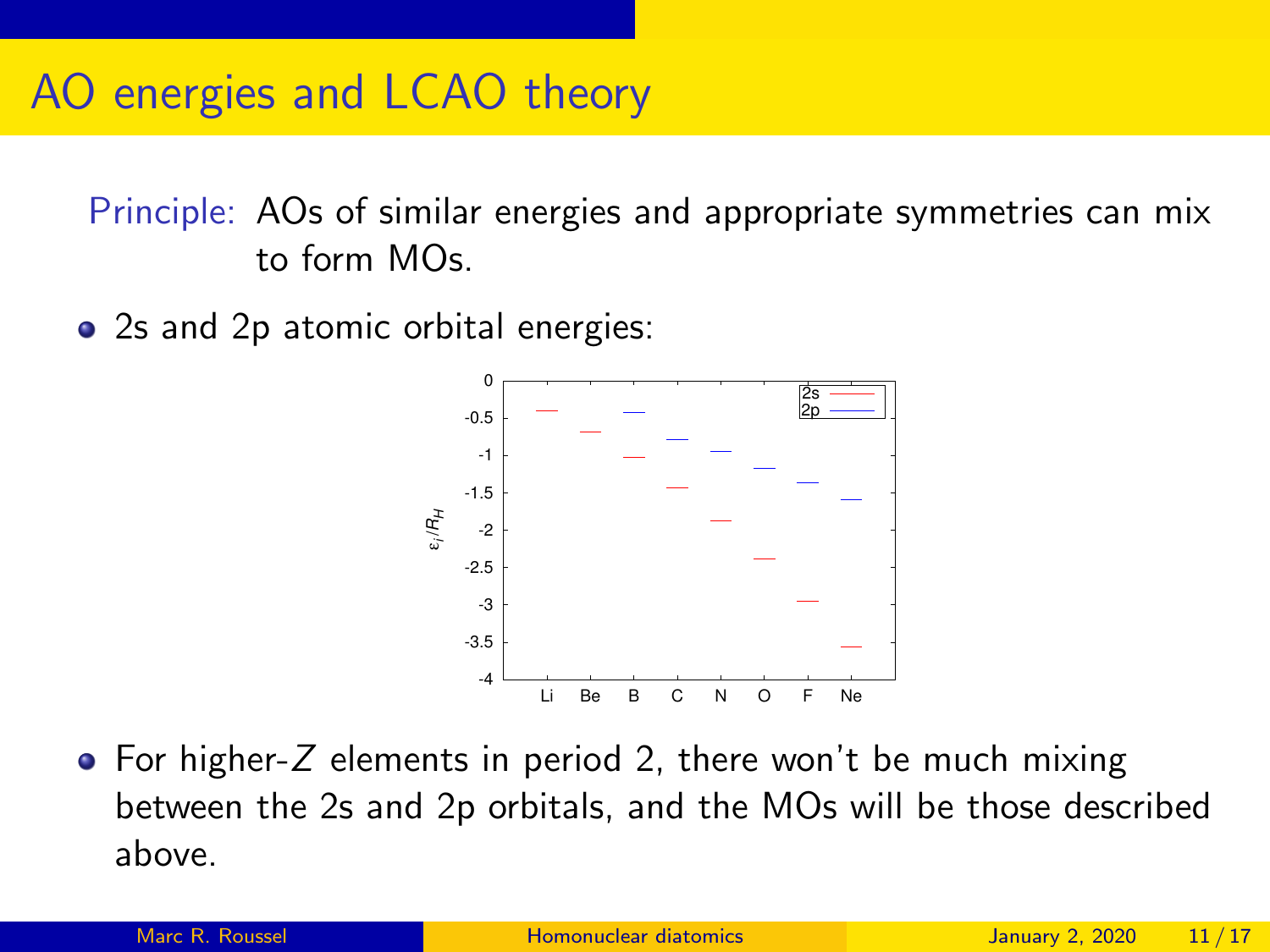Principle: AOs of similar energies and appropriate symmetries can mix to form MOs.

• 2s and 2p atomic orbital energies:



 $\bullet$  For higher-Z elements in period 2, there won't be much mixing between the 2s and 2p orbitals, and the MOs will be those described above.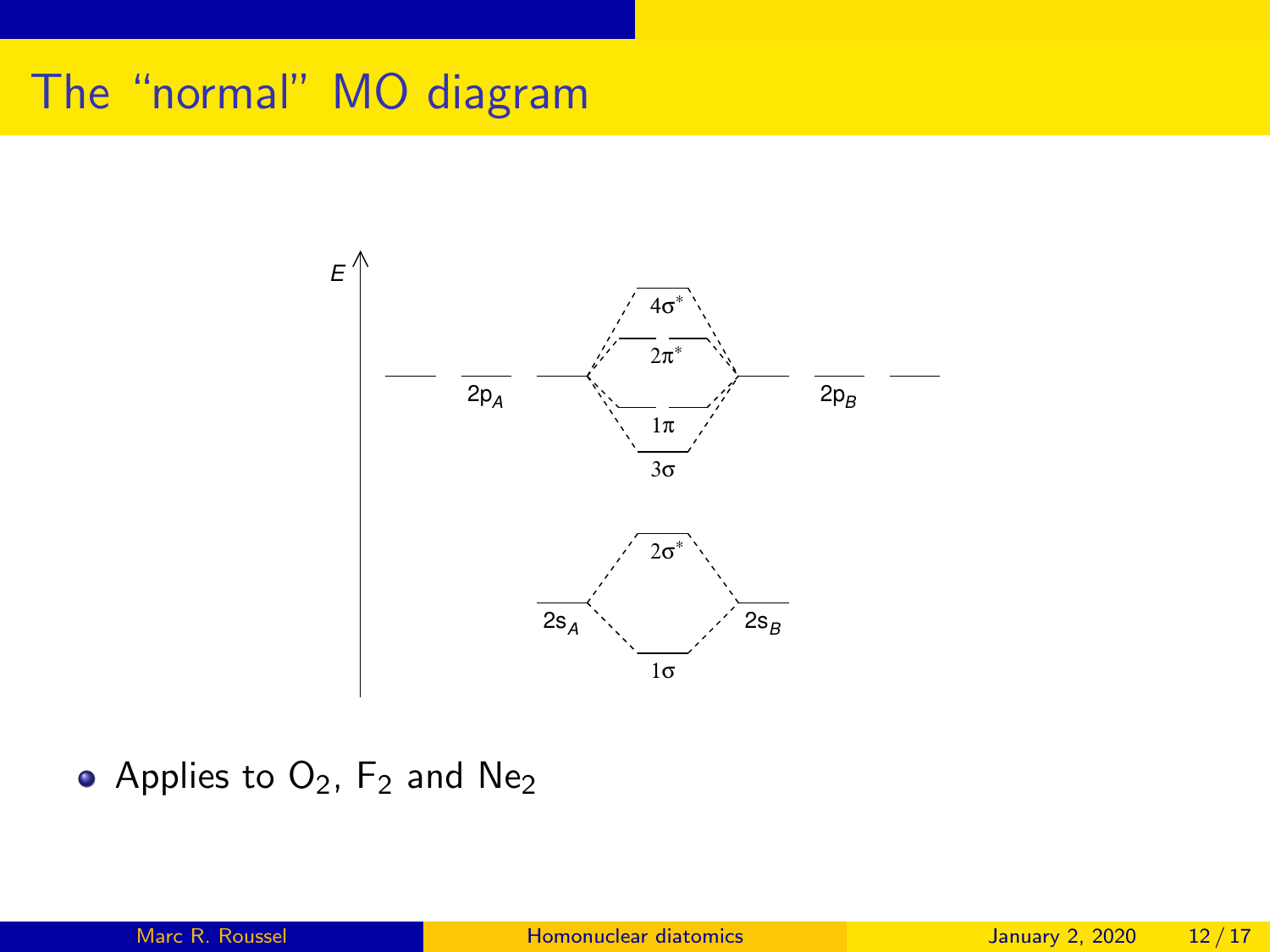## The "normal" MO diagram



• Applies to  $O_2$ ,  $F_2$  and  $Ne_2$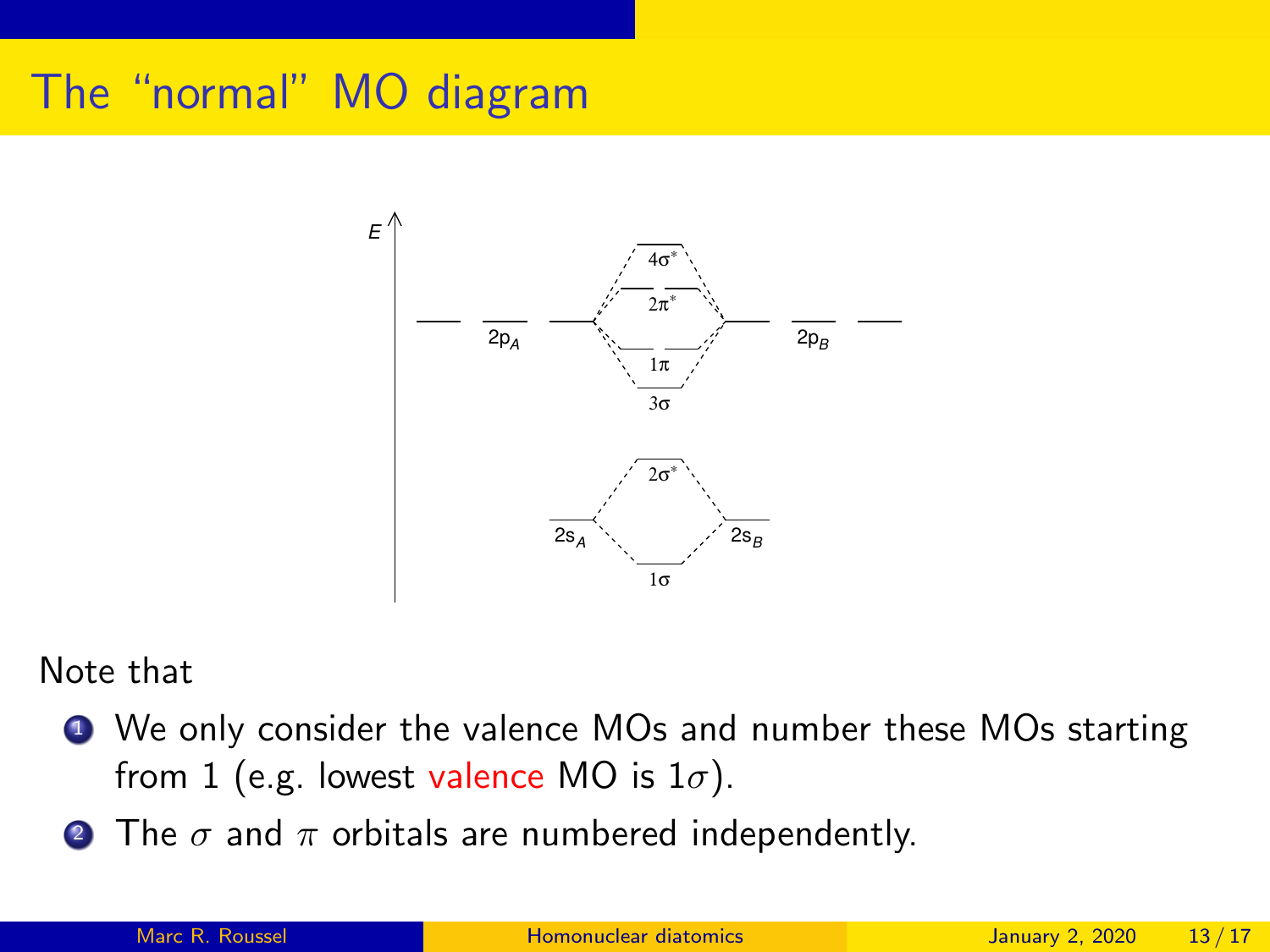## The "normal" MO diagram



#### Note that

- **4** We only consider the valence MOs and number these MOs starting from 1 (e.g. lowest valence MO is  $1\sigma$ ).
- The  $\sigma$  and  $\pi$  orbitals are numbered independently.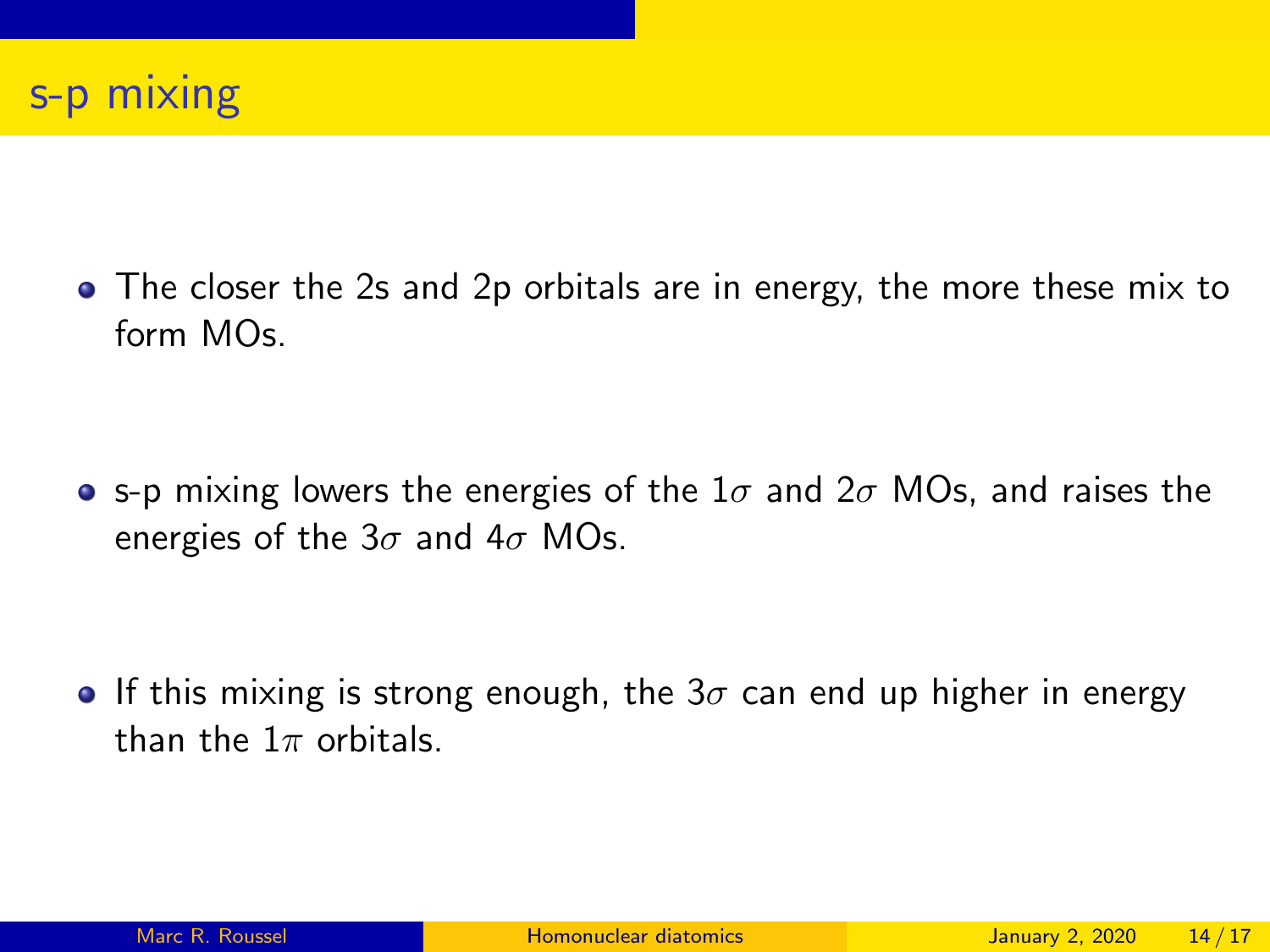

• The closer the 2s and 2p orbitals are in energy, the more these mix to  $form MOs$ 

• s-p mixing lowers the energies of the  $1\sigma$  and  $2\sigma$  MOs, and raises the energies of the  $3\sigma$  and  $4\sigma$  MOs.

**If this mixing is strong enough, the 3** $\sigma$  can end up higher in energy than the  $1\pi$  orbitals.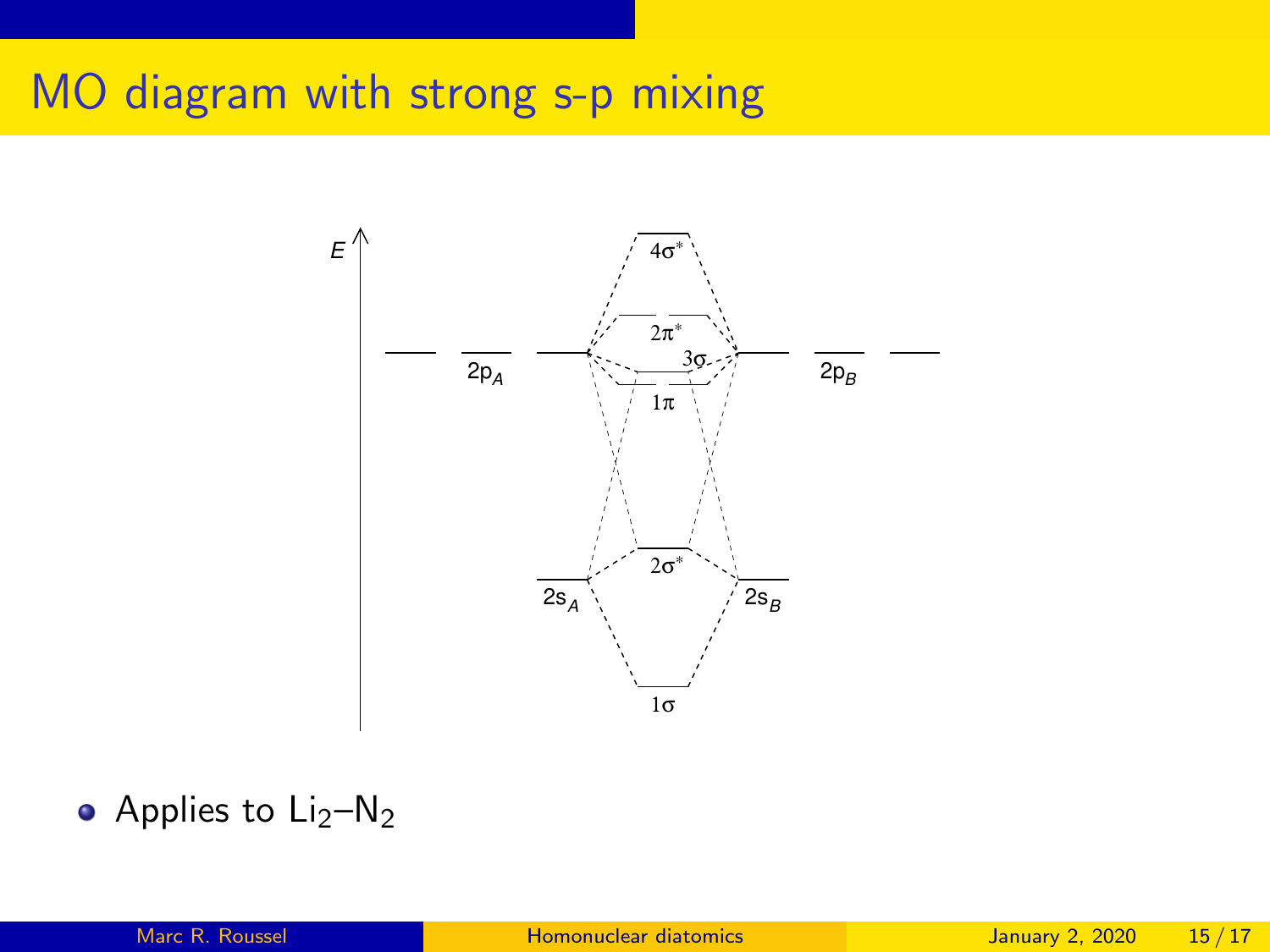## MO diagram with strong s-p mixing



• Applies to 
$$
Li_2-N_2
$$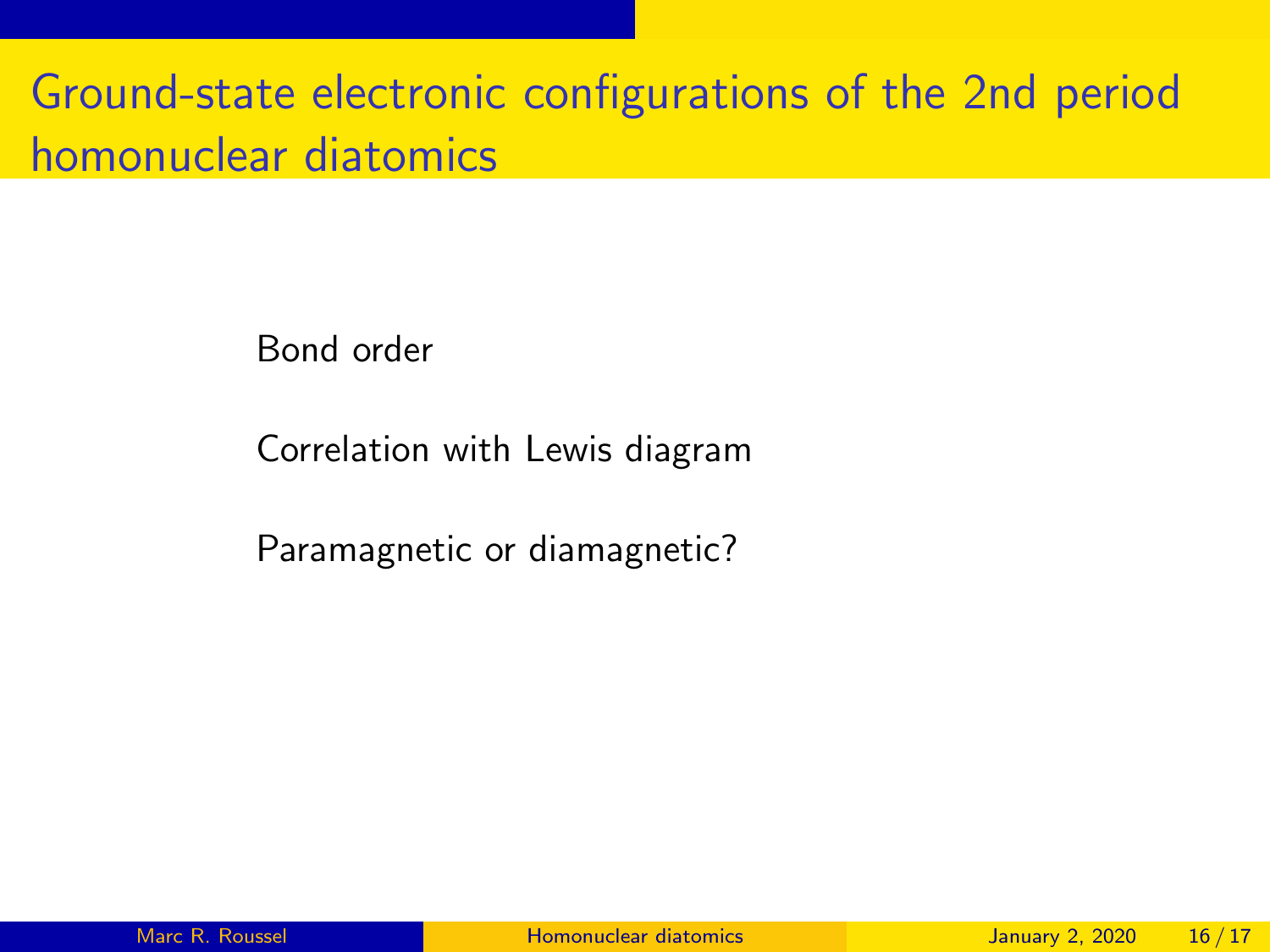# Ground-state electronic configurations of the 2nd period homonuclear diatomics

Bond order

Correlation with Lewis diagram

Paramagnetic or diamagnetic?